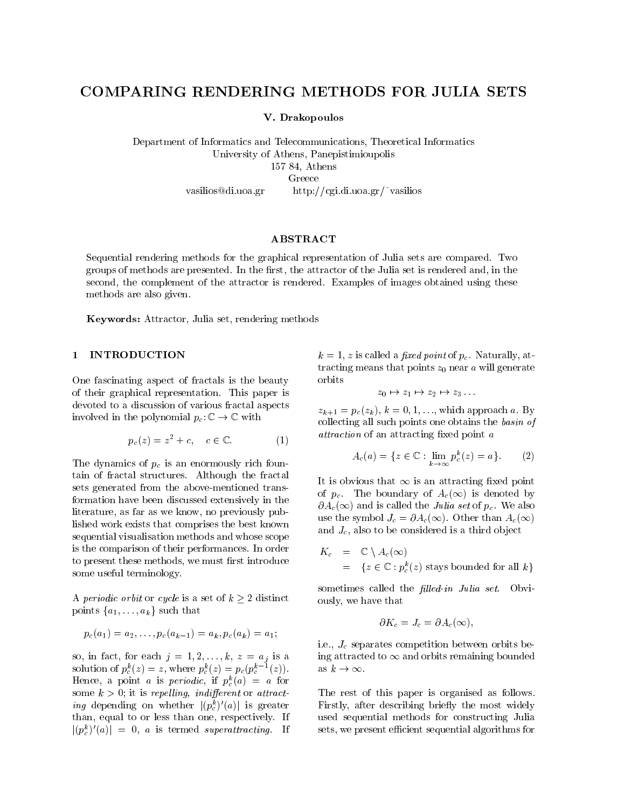# COMPARING RENDERING METHODS FOR JULIA SETS

V. Drakopoulos

Department of Informatics and Telecommunications, Theoretical Informatics University of Athens, Panepistimioupolis 157 84, Athens vasilios@di.uoa.gr http://cgi.di.uoa.gr/~vasilios

ABSTRACT

Sequential rendering methods for the graphical representation of Julia sets are compared. Two groups of methods are presented. In the first, the attractor of the Julia set is rendered and, in the second, the complement of the attractor is rendered. Examples of images obtained using these methods are also given.

Keywords: Attractor, Julia set, rendering methods

One fascinating aspect of fractals is the beauty of their graphical representation. This paper is devoted to a discussion of various fractal aspects involved in the polynomial  $p_c: \mathbb{C} \to \mathbb{C}$  with

$$
p_c(z) = z^2 + c, \quad c \in \mathbb{C}.\tag{1}
$$

The dynamics of  $p_c$  is an enormously rich fountain of fractal structures. Although the fractal sets generated from the above-mentioned transformation have been discussed extensively in the literature, as far as we know, no previously published work exists that comprises the best known sequential visualisation methods and whose scope is the comparison of their performances. In order to present these methods, we must first introduce some useful terminology.

A periodic orbit or cycle is a set of  $k \geq 2$  distinct points failed factors factors factors factors for the such that the such that the such that the such that the such that the such that the such that the such that the such that the such that the such that the such that the

$$
p_c(a_1) = a_2, \ldots, p_c(a_{k-1}) = a_k, p_c(a_k) = a_1;
$$

so, in fact, for each  $j = 1, 2, \ldots, k, z = a_j$  is a solution of  $p_c(z) = z$ , where  $p_c(z) = p_c(p_c(z))$ . Hence, a point *a* is *periodic*, if  $p_c(u) = u$  for some  $k > 0$ ; it is repelling, indifferent or attract*ing* depending on whether  $(p_c)$  (*a*) is greater and than, equal to or less than one, respectively. If  $|(p_c^c)|(a)| = 0$ , a is termed superattracting. If

 $k = 1, z$  is called a fixed point of  $p_c$ . Naturally, attracting means that points  $z_0$  near  $a$  will generate orbits

 $z_0 \mapsto z_1 \mapsto z_2 \mapsto z_3 \dots$ 

 $z_{k+1} = p_c(z_k), k = 0, 1, \ldots$ , which approach a. By collecting all such points one obtains the basin of attraction of an attracting fixed point a

$$
A_c(a) = \{ z \in \mathbb{C} : \lim_{k \to \infty} p_c^k(z) = a \}. \tag{2}
$$

It is obvious that  $\infty$  is an attracting fixed point of  $p_c$ . The boundary of  $A_c(\infty)$  is denoted by  $\partial A_c(\infty)$  and is called the *Julia set* of  $p_c$ . We also use the symbol  $J_c = \partial A_c(\infty)$ . Other than  $A_c(\infty)$ and  $J_c$ , also to be considered is a third object

$$
K_c = \mathbb{C} \setminus A_c(\infty)
$$
  
= { $z \in \mathbb{C} : p_c^k(z)$  stays bounded for all  $k$ }

sometimes called the *filled-in Julia set*. Obviously, we have that

$$
\partial K_c=J_c=\partial A_c(\infty),
$$

i.e.,  $J_c$  separates competition between orbits being attracted to  $\infty$  and orbits remaining bounded as  $k \to \infty$ .

The rest of this paper is organised as follows. Firstly, after describing briefly the most widely used sequential methods for constructing Julia sets, we present efficient sequential algorithms for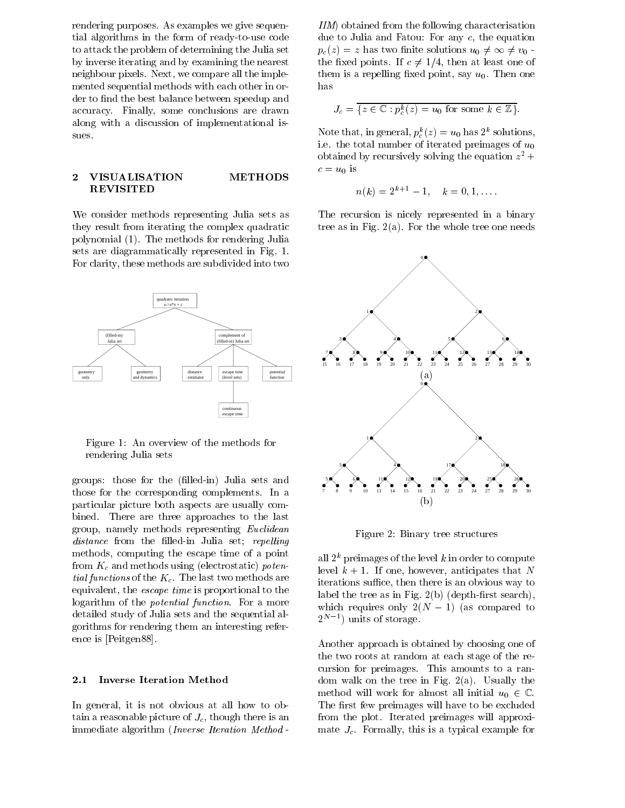rendering purposes. As examples we give sequential algorithms in the form of ready-to-use code to attack the problem of determining the Julia set by inverse iterating and by examining the nearest neighbour pixels. Next, we compare all the implemented sequential methods with each other in order to find the best balance between speedup and accuracy. Finally, some conclusions are drawn along with a discussion of implementational issues.

### 2 VISUALISATION METHODS REVISITED

We consider methods representing Julia sets as they result from iterating the complex quadratic polynomial (1). The methods for rendering Julia sets are diagrammatically represented in Fig. 1. For clarity, these methods are subdivided into two



Figure 1: An overview of the methods for rendering Julia sets

groups: those for the (filled-in) Julia sets and those for the corresponding complements. In a particular picture both aspects are usually combined. There are three approaches to the last group, namely methods representing Euclidean distance from the filled-in Julia set; repelling methods, computing the escape time of a point from  $K_c$  and methods using (electrostatic) potential functions of the  $K_c$ . The last two methods are equivalent, the escape time is proportional to the logarithm of the potential function. For a more detailed study of Julia sets and the sequential algorithms for rendering them an interesting reference is [Peitgen88].

#### 2.1 Inverse Iteration Method

In general, it is not obvious at all how to obtain a reasonable picture of  $J_c$ , though there is an immediate algorithm (Inverse Iteration Method -

IIM) obtained from the following characterisation due to Julia and Fatou: For any c, the equation  $p_c(z) = z$  has two finite solutions  $u_0 \neq \infty \neq v_0$ . the fixed points. If  $c \neq 1/4$ , then at least one of them is a repelling fixed point, say  $u_0$ . Then one has

$$
J_c = \{ z \in \mathbb{C} : p_c^k(z) = u_0 \text{ for some } k \in \mathbb{Z} \}.
$$

Note that, in general,  $p_c(z) = u_0$  has 2 solutions, i.e. the total number of iterated preimages of  $u_0$ obtained by recursively solving the equation  $z^-$  +  $c = u_0$  is

$$
n(k) = 2^{k+1} - 1, \quad k = 0, 1, \ldots
$$

The recursion is nicely represented in a binary tree as in Fig.  $2(a)$ . For the whole tree one needs



Figure 2: Binary tree structures

all  $2^k$  preimages of the level k in order to compute level  $k + 1$ . If one, however, anticipates that N iterations suffice, then there is an obvious way to label the tree as in Fig.  $2(b)$  (depth-first search), which requires only 2(N  $\,$  1) (as compared to  $\,$  1) (as compared to  $\,$  1) (as compared to  $\,$  1) (as compared to  $\,$  1) (as compared to  $\,$  1) (as compared to  $\,$  1) (as compared to  $\,$  1) (as compared to  $\,$  z<sup>2</sup> - ) units of storage.

Another approach is obtained by choosing one of the two roots at random at each stage of the recursion for preimages. This amounts to a random walk on the tree in Fig. 2(a). Usually the method will work for almost all initial  $u_0 \in \mathbb{C}$ . The first few preimages will have to be excluded from the plot. Iterated preimages will approximate  $J_c$ . Formally, this is a typical example for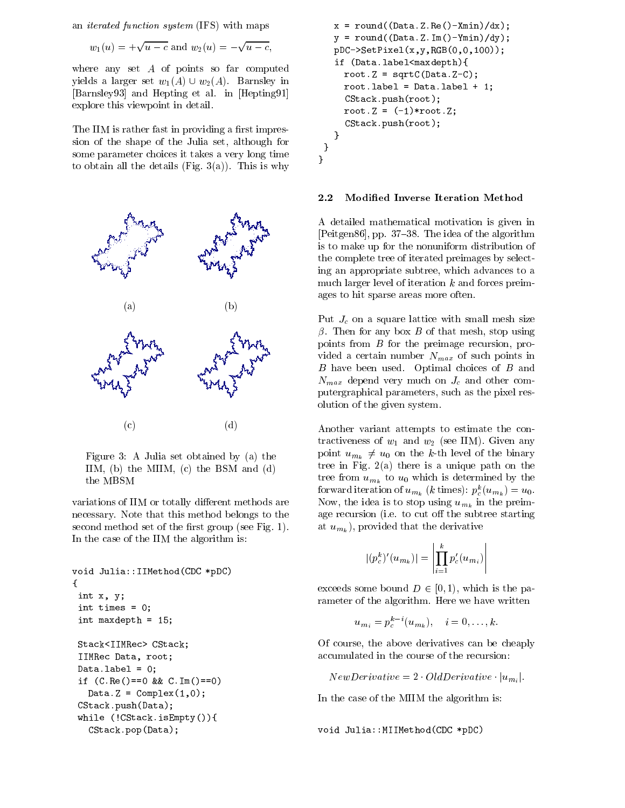an iterated function system (IFS) with maps

$$
w_1(u) = +\sqrt{u-c}
$$
 and  $w_2(u) = -\sqrt{u-c}$ ,

where any set  $A$  of points so far computed yields a larger set  $w_1(A) \cup w_2(A)$ . Barnsley in [Barnsley93] and Hepting et al. in [Hepting91] explore this viewpoint in detail.

The IIM is rather fast in providing a first impression of the shape of the Julia set, although for some parameter choices it takes a very long time to obtain all the details (Fig.  $3(a)$ ). This is why



Figure 3: A Julia set obtained by (a) the IIM, (b) the MIIM, (c) the BSM and (d) the MBSM

variations of IIM or totally different methods are necessary. Note that this method belongs to the second method set of the first group (see Fig. 1). In the case of the IIM the algorithm is:

```
void Julia::IIMethod(CDC *pDC)
{
int x, y;
int times = 0;
int maxdepth = 15;
Stack<IIMRec> CStack;
IIMRec Data, root;
Datau = 0;if (C. Re() == 0 & & C. Im() == 0)Data.Z = Complex(1,0);CStack.push(Data);
while (!CStack.isEmpty()){
  CStack.pop(Data);
```

```
x = \text{round}((\text{Data}.Z.\text{Re}() - \text{Xmin})/dx);y = round ((Data.Z.Im()-Ymin)/dy);
   pDC->SetPixel(x,y,RGB(0,0,100));
   if (Data.label<maxdepth){
     root.Z = sqrtC(Data.Z-C);root.label = Data.label + 1;
     CStack.push(root);
     root.Z = (-1)*root.Z;
     CStack.push(root);
   }
}
}
```
## 2.2 Modied Inverse Iteration Method

A detailed mathematical motivation is given in [Peitgen86], pp.  $37-38$ . The idea of the algorithm is to make up for the nonuniform distribution of the complete tree of iterated preimages by selecting an appropriate subtree, which advances to a much larger level of iteration  $k$  and forces preimages to hit sparse areas more often.

Put  $J_c$  on a square lattice with small mesh size  $\beta$ . Then for any box  $B$  of that mesh, stop using points from B for the preimage recursion, provided a certain number  $N_{max}$  of such points in B have been used. Optimal choices of B and  $N_{max}$  depend very much on  $J_c$  and other computergraphical parameters, such as the pixel resolution of the given system.

Another variant attempts to estimate the contractiveness of  $w_1$  and  $w_2$  (see IIM). Given any point  $u_{m_k} \neq u_0$  on the k-th level of the binary tree in Fig. 2(a) there is a unique path on the tree from  $u_{m_k}$  to  $u_0$  which is determined by the forward iteration of  $u_{m_k}$  (k times):  $p_c(u_{m_k}) = u_0$ . Now, the idea is to stop using  $u_{m_k}$  in the preimage recursion (i.e. to cut off the subtree starting at  $u_{m_k}$ ), provided that the derivative

$$
|(p_c^k)'(u_{m_k})| = \left| \prod_{i=1}^k p_c'(u_{m_i}) \right|
$$

exceeds some bound  $D \in [0, 1)$ , which is the parameter of the algorithm. Here we have written

$$
u_{m_i}=p_c^{k-i}(u_{m_k}),\quad i=0,\ldots,k.
$$

Of course, the above derivatives can be cheaply accumulated in the course of the recursion:

 $NewDerivative = 2 \quad OldDerivative \quad |u_{m_i}|.$ 

In the case of the MIIM the algorithm is:

void Julia::MIIMethod(CDC \*pDC)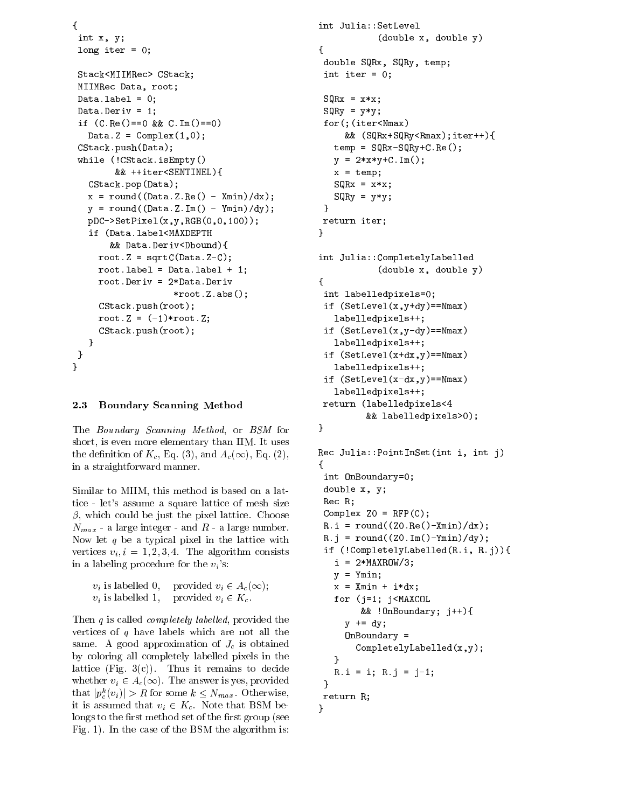```
{
int x, y;
long iter = 0;
Stack<MIIMRec> CStack;
MIIMRec Data, root;
Data.\label{label} = 0;
Data.Deriv = 1;
if (C. Re() == 0 & & C. Im() == 0)Data.Z = Complex(1,0);CStack.push(Data);
while (!CStack.isEmpty()
        && ++iter<SENTINEL){
  CStack.pop(Data);
  x = round((Data.Z.Re() - Xmin)/dx);y = round((Data.Z.Im() - Ymin)/dy);pDC->SetPixel(x,y,RGB(0,0,100));
  if (Data.label<MAXDEPTH
       && Data.Deriv<Dbound){
    root.Z = sqrtC(Data.Z-C);root. label = Data. label + 1;
    root.Deriv = 2*Data.Deriv
                   *root.Z.abs();
    CStack.push(root);
    root.Z = (-1)*root.Z;CStack.push(root);
   }
}
```
### 2.3 Boundary Scanning Method

}

The Boundary Scanning Method, or BSM for short, is even more elementary than IIM. It uses the definition of  $K_c$ , Eq. (3), and  $A_c(\infty)$ , Eq. (2), in a straightforward manner.

Similar to MIIM, this method is based on a lattice -let's assume a square lattice of mesh size  $\beta$ , which could be just the pixel lattice. Choose  $N_{max}$  - a large integer - and  $\cal R$  - a large number. Now let  $q$  be a typical pixel in the lattice with vertices  $v_i, i = 1, 2, 3, 4$ . The algorithm consists in a labeling procedure for the  $v_i$ 's:

```
v_i is labelled 0, provided v_i \in A_c(\infty);v_i is labelled 1, provided v_i \in K_c.
```
Then  $q$  is called *completely labelled*, provided the vertices of  $q$  have labels which are not all the same. A good approximation of  $J_c$  is obtained by coloring all completely labelled pixels in the lattice (Fig.  $3(c)$ ). Thus it remains to decide whether  $v_i \in A_c(\infty)$ . The answer is yes, provided  $\qquad \qquad$ that  $|p_c(v_i)| > R$  for some  $\kappa \leq N_{max}$ . Otherwise, it is assumed that  $v_i \in K_c$ . Note that BSM belongs to the first method set of the first group (see Fig. 1). In the case of the BSM the algorithm is:

```
int Julia::SetLevel
               (double x, double y)
{
 double SQRx, SQRy, temp;
 int iter = 0;
 SQRx = x*x;SQRy = y*y;for(;(iter<Nmax)
       && (SQRx+SQRy<Rmax);iter++){
    temp = SQRx-SQRy+C-Re();
   y = 2*x*y+C \ldots Im();
   x = temp;SQRx = x*x;SQRy = y*y;}
return iter;
ł
}
int Julia::CompletelyLabelled
               (double x, double y)
{\color{red} \bullet} . The contract of the contract of the contract of the contract of the contract of the contract of the contract of the contract of the contract of the contract of the contract of the contract of the contract of 
 int labelledpixels=0;
 if (SetLevel(x,y+dy)==Nmax)
    labelledpixels++;
 if (SetLevel(x,y-dy)==Nmax)
    labelledpixels++;
 if (SetLevel(x+dx, y)=Nmax)labelledpixels++;
 if (SetLevel(x-dx,y)==Nmax)
    labelledpixels++;
 return (labelledpixels<4
            && labelledpixels>0);
}
```

```
Rec Julia::PointInSet(int i, int j)
{\bf r} and {\bf r} and {\bf r} and {\bf r} and {\bf r}int OnBoundary=0;
double x, y;
Rec R;
Complex Z0 = RFP(C);
R.i = round((Z0.Re() - Xmin)/dx);R.j = round((Z0.Im() - Ymin)/dy);if (!CompletelyLabelled(R.i, R.j)){
   i = 2*MAXROW/3;y = Ymin;x = Xmin + i*dx;
   for (j=1; j<MAXCOL
        && !OnBoundary; j++){
     y += dy;
     OnBoundary =
       CompletelyLabelled(x,y);
   ł
   }
   R.i = i; R.j = j-1;}
return R;
}
```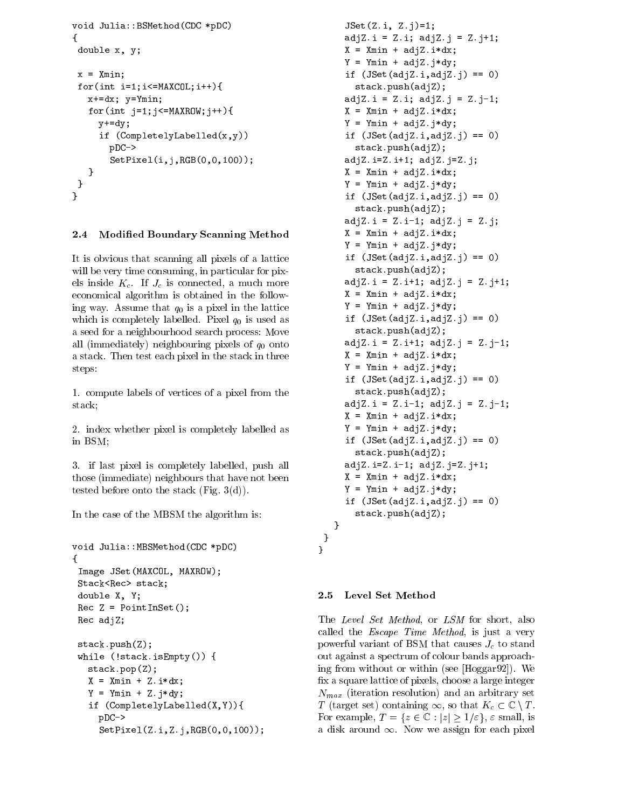```
void Julia::BSMethod(CDC *pDC)
{\bf r} and {\bf r} and {\bf r} and {\bf r} and {\bf r}double x, y;
x = Xmin;
for(int i=1; i<=MAXCOL; i++)x+=dx; y=Ymin;
   for(int j=1; j <= MAXROW; j ++){
      y+=dy;if (CompletelyLabelled(x,y))
        pDC->
        SetPixel(i,j,RGB(0,0,100));
   }
 }
}
```
## 2.4 Modied Boundary Scanning Method

It is obvious that scanning all pixels of a lattice will be very time consuming, in particular for pixels inside  $K_c$ . If  $J_c$  is connected, a much more economical algorithm is obtained in the following way. Assume that  $q_0$  is a pixel in the lattice which is completely labelled. Pixel  $q_0$  is used as a seed for a neighbourhood search process: Move all (immediately) neighbouring pixels of  $q_0$  onto a stack. Then test each pixel in the stack in three steps:

1. compute labels of vertices of a pixel from the stack;

2. index whether pixel is completely labelled as in BSM;

3. if last pixel is completely labelled, push all those (immediate) neighbours that have not been tested before onto the stack (Fig. 3(d)).

In the case of the MBSM the algorithm is:

```
void Julia::MBSMethod(CDC *pDC)
{
Image JSet(MAXCOL, MAXROW);
Stack<Rec> stack;
double X, Y;
Rec Z = PointInSet();
Rec adjZ;
stack.push(Z);
while (!stack.isEmpty()) {
  stack.pop(Z);
  X = Xmin + Z.i*dx;
  Y = Ymin + Z.j*dy;if (CompletelyLabelled(X,Y)){
    pDC->
     SetPixel(Z.i,Z.j,RGB(0,0,100));
```

```
JSet(Z.i, Z.j)=1;adjZ.i = Z.i; adjZ.j = Z.j+1;X = Xmin + adjZ.i*dx;
 Y = Ymin + adjZ. j * dy;if (JSet(adjZ.i, adjZ.j) == 0)stack.push(adjZ);
 adjZ.i = Z.i; adjZ.j = Z.j-1;X = Xmin + adjZ.i*dx;
 Y = Ymin + adjZ. j * dy;if (JSet(adjZ.i, adjZ.j) == 0)stack.push(adjZ);
 adjZ.i=Z.i+1; adjZ.j=Z.j;X = Xmin + adjZ.i*dx;
 Y = Ymin + adjZ.j*dy;if (JSet(adjZ.i,adjZ.j) == 0)
    stack.push(adjZ);
 adjZ.i = Z.i-1; adjZ.j = Z.j;
 X = Xmin + adjZ.i*dx;
 Y = Ymin + adjZ. j * dy;if (JSet(adjZ.i, adjZ.j) == 0)stack.push(adjZ);
 adjZ.i = Z.i+1; adjZ.j = Z.j+1;
 X = Xmin + adjZ.i*dx;
 Y = Ymin + adjZ.j*dy;
 if (JSet(adjZ.i, adjZ.j) == 0)stack.push(adjZ);
 adjZ.i = Z.i+1; adjZ.j = Z.j-1;X = Xmin + adjZ.i*dx;
 Y = Ymin + adjZ.j*dy;
 if (JSet(adjZ.i,adjZ.j) == 0)
    stack.push(adjZ);
 adjZ.i = Z.i-1; adjZ.j = Z.j-1;
 X = Xmin + adjZ.i*dx;
 Y = Ymin + adjZ. j * dy;if (JSet(adjZ.i,adjZ.j) == 0)
    stack.push(adjZ);
 adjZ.i=Z.i-1; adjZ.j=Z.j+1;
 X = Xmin + adjZ.i*dx;
 Y = Ymin + adjZ. j * dy;if (JSet(adjZ.i,adjZ.j) == 0)
    stack.push(adjZ);
}
```
### 2.5 Level Set Method

} }

The Level Set Method, or LSM for short, also called the *Escape Time Method*, is just a very powerful variant of BSM that causes  $J_c$  to stand out against a spectrum of colour bands approaching from without or within (see [Hoggar92]). We x a square lattice of pixels, choose a large integer  $N_{max}$  (iteration resolution) and an arbitrary set T (target set) containing  $\infty$ , so that  $K_c \subset \mathbb{C} \setminus T$ . For example,  $T = \{z \in \mathbb{C} : |z| \geq 1/\varepsilon\}$ ,  $\varepsilon$  small, is a disk around 1. Now we assign for each pixels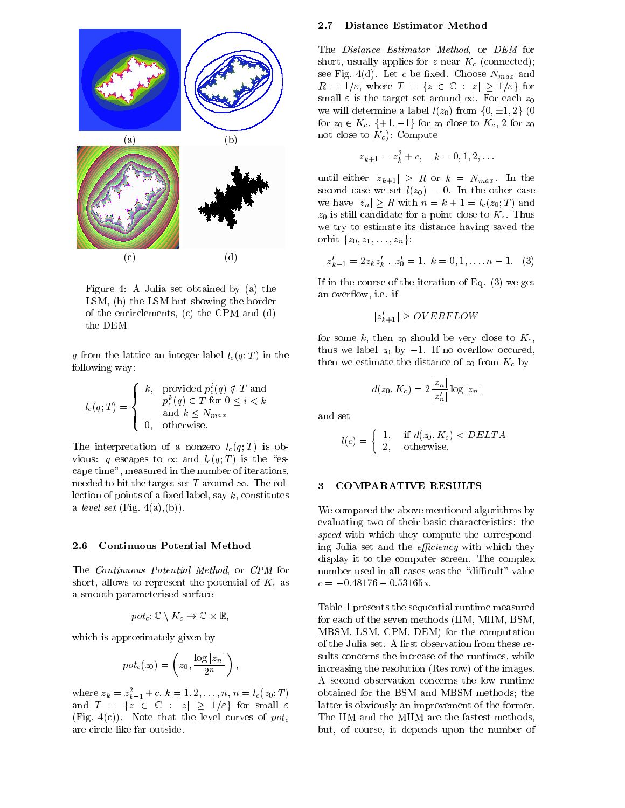

Figure 4: A Julia set obtained by (a) the LSM, (b) the LSM but showing the border of the encirclements, (c) the CPM and (d) the DEM

q from the lattice an integer label  $l_c(q;T)$  in the following way:

$$
l_c(q;T) = \begin{cases} k, & \text{provided } p_c^i(q) \notin T \text{ and} \\ & p_c^k(q) \in T \text{ for } 0 \le i < k \\ & \text{and } k \le N_{max} \\ 0, & \text{otherwise.} \end{cases}
$$

The interpretation of a nonzero  $l_c(q;T)$  is ob- $\mathbf{v}$  is the total latter to  $\mathbf{v}$  is the  $\mathbf{v}$  is the  $\mathbf{v}$  is the  $\mathbf{v}$ cape time", measured in the number of iterations, needed to hit the target set T around  $\infty$ . The collection of points of a fixed label, say  $k$ , constitutes a level set  $(Fig. 4(a), (b))$ .

#### 2.6 Continuous Potential Method

The Continuous Potential Method, or CPM for short, allows to represent the potential of  $K_c$  as a smooth parameterised surface

$$
pot_c \colon \mathbb{C} \setminus K_c \to \mathbb{C} \times \mathbb{R},
$$

which is approximately given by

$$
pot_c(z_0)=\left(z_0,\frac{\log|z_n|}{2^n}\right),
$$

where  $z_k = z_{k-1} + c, \, k = 1, 2, \ldots, n, \, n = t_c(z_0; T)$  ou and  $T = \{z \in \mathbb{C} : |z| \ge 1/\varepsilon\}$  for small  $\varepsilon$ (Fig. 4(c)). Note that the level curves of  $pot_c$ are circle-like far outside.

#### Distance Estimator Method  $2.7$

The Distance Estimator Method, or DEM for short, usually applies for z near  $K_c$  (connected); see Fig. 4(d). Let c be fixed. Choose  $N_{max}$  and  $R = 1/\varepsilon$ , where  $T = \{z \in \mathbb{C} : |z| \geq 1/\varepsilon\}$  for small  $\varepsilon$  is the target set around  $\infty$ . For each  $z_0$ we will determine a label  $l(z_0)$  from  $\{0, \pm 1, 2\}$  (0) for  $z_0 \in K_c$ ,  $\{+1, -1\}$  for  $z_0$  close to  $K_c$ , 2 for  $z_0$ not close to  $K_c$ : Compute

$$
z_{k+1} = z_k^2 + c, \quad k = 0, 1, 2, \dots
$$

until either  $|z_{k+1}| \geq R$  or  $k = N_{max}$ . In the second case we set  $l(z_0) = 0$ . In the other case we have  $|z_n| \geq R$  with  $n = k + 1 = l_c(z_0; T)$  and  $z_0$  is still candidate for a point close to  $K_c$ . Thus we try to estimate its distance having saved the orbit  $\{z_0, z_1, \ldots, z_n\}$ :

$$
z'_{k+1} = 2z_k z'_k, \ z'_0 = 1, \ k = 0, 1, \dots, n-1. \quad (3)
$$

If in the course of the iteration of Eq. (3) we get an over
ow, i.e. if

$$
|z'_{k+1}| \geq OVERFLOW
$$

for some k, then  $z_0$  should be very close to  $K_c$ , thus we label  $z_0$  by  $-1$ . If no overflow occured, then we estimate the distance of  $z_0$  from  $K_c$  by

$$
d(z_0,K_c)=2\frac{|z_n|}{|z_n'|}\log|z_n|
$$

and set

$$
l(c) = \begin{cases} 1, & \text{if } d(z_0, K_c) < DELTA \\ 2, & \text{otherwise.} \end{cases}
$$

#### $3 -$ 3 COMPARATIVE RESULTS

We compared the above mentioned algorithms by evaluating two of their basic characteristics: the speed with which they compute the corresponding Julia set and the *efficiency* with which they display it to the computer screen. The complex number used in all cases was the "difficult" value

Table 1 presents the sequential runtime measured for each of the seven methods (IIM, MIIM, BSM, MBSM, LSM, CPM, DEM) for the computation of the Julia set. A first observation from these results concerns the increase of the runtimes, while increasing the resolution (Res row) of the images. A second observation concerns the low runtime obtained for the BSM and MBSM methods; the latter is obviously an improvement of the former. The IIM and the MIIM are the fastest methods, but, of course, it depends upon the number of